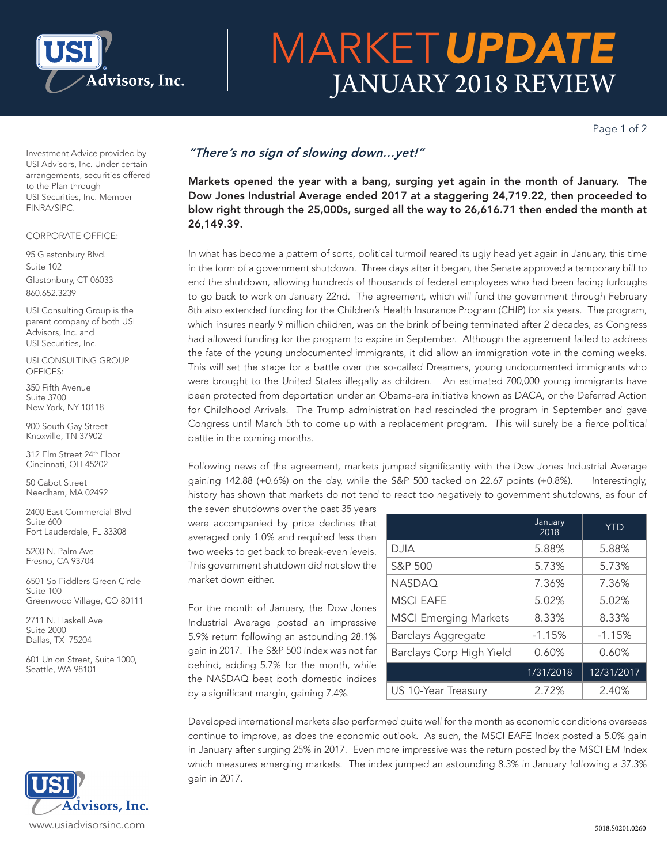

# MARKET*UPDATE* JANUARY 2018 REVIEW

Page 1 of 2

Investment Advice provided by USI Advisors, Inc. Under certain arrangements, securities offered to the Plan through USI Securities, Inc. Member FINRA/SIPC.

### CORPORATE OFFICE:

95 Glastonbury Blvd. Suite 102 Glastonbury, CT 06033 860.652.3239

USI Consulting Group is the parent company of both USI Advisors, Inc. and USI Securities, Inc.

USI CONSULTING GROUP OFFICES:

350 Fifth Avenue Suite 3700 New York, NY 10118

900 South Gay Street Knoxville, TN 37902

312 Elm Street 24th Floor Cincinnati, OH 45202

50 Cabot Street Needham, MA 02492

2400 East Commercial Blvd Suite 600 Fort Lauderdale, FL 33308

5200 N. Palm Ave Fresno, CA 93704

6501 So Fiddlers Green Circle Suite 100 Greenwood Village, CO 80111

2711 N. Haskell Ave Suite 2000 Dallas, TX 75204

601 Union Street, Suite 1000, Seattle, WA 98101



## *"There's no sign of slowing down…yet!"*

Markets opened the year with a bang, surging yet again in the month of January. The Dow Jones Industrial Average ended 2017 at a staggering 24,719.22, then proceeded to blow right through the 25,000s, surged all the way to 26,616.71 then ended the month at 26,149.39.

In what has become a pattern of sorts, political turmoil reared its ugly head yet again in January, this time in the form of a government shutdown. Three days after it began, the Senate approved a temporary bill to end the shutdown, allowing hundreds of thousands of federal employees who had been facing furloughs to go back to work on January 22nd. The agreement, which will fund the government through February 8th also extended funding for the Children's Health Insurance Program (CHIP) for six years. The program, which insures nearly 9 million children, was on the brink of being terminated after 2 decades, as Congress had allowed funding for the program to expire in September. Although the agreement failed to address the fate of the young undocumented immigrants, it did allow an immigration vote in the coming weeks. This will set the stage for a battle over the so-called Dreamers, young undocumented immigrants who were brought to the United States illegally as children. An estimated 700,000 young immigrants have been protected from deportation under an Obama-era initiative known as DACA, or the Deferred Action for Childhood Arrivals. The Trump administration had rescinded the program in September and gave Congress until March 5th to come up with a replacement program. This will surely be a fierce political battle in the coming months.

Following news of the agreement, markets jumped significantly with the Dow Jones Industrial Average gaining 142.88 (+0.6%) on the day, while the S&P 500 tacked on 22.67 points (+0.8%). Interestingly, history has shown that markets do not tend to react too negatively to government shutdowns, as four of

the seven shutdowns over the past 35 years were accompanied by price declines that averaged only 1.0% and required less than two weeks to get back to break-even levels. This government shutdown did not slow the market down either.

For the month of January, the Dow Jones Industrial Average posted an impressive 5.9% return following an astounding 28.1% gain in 2017. The S&P 500 Index was not far behind, adding 5.7% for the month, while the NASDAQ beat both domestic indices by a significant margin, gaining 7.4%.

|                              | January<br>2018 | <b>YTD</b> |
|------------------------------|-----------------|------------|
| <b>DJIA</b>                  | 5.88%           | 5.88%      |
| S&P 500                      | 5.73%           | 5.73%      |
| <b>NASDAQ</b>                | 7.36%           | 7.36%      |
| <b>MSCI EAFE</b>             | 5.02%           | 5.02%      |
| <b>MSCI Emerging Markets</b> | 8.33%           | 8.33%      |
| <b>Barclays Aggregate</b>    | $-1.15%$        | $-1.15%$   |
| Barclays Corp High Yield     | 0.60%           | 0.60%      |
|                              | 1/31/2018       | 12/31/2017 |
| US 10-Year Treasury          | 2.72%           | 2.40%      |

Developed international markets also performed quite well for the month as economic conditions overseas continue to improve, as does the economic outlook. As such, the MSCI EAFE Index posted a 5.0% gain in January after surging 25% in 2017. Even more impressive was the return posted by the MSCI EM Index which measures emerging markets. The index jumped an astounding 8.3% in January following a 37.3% gain in 2017.